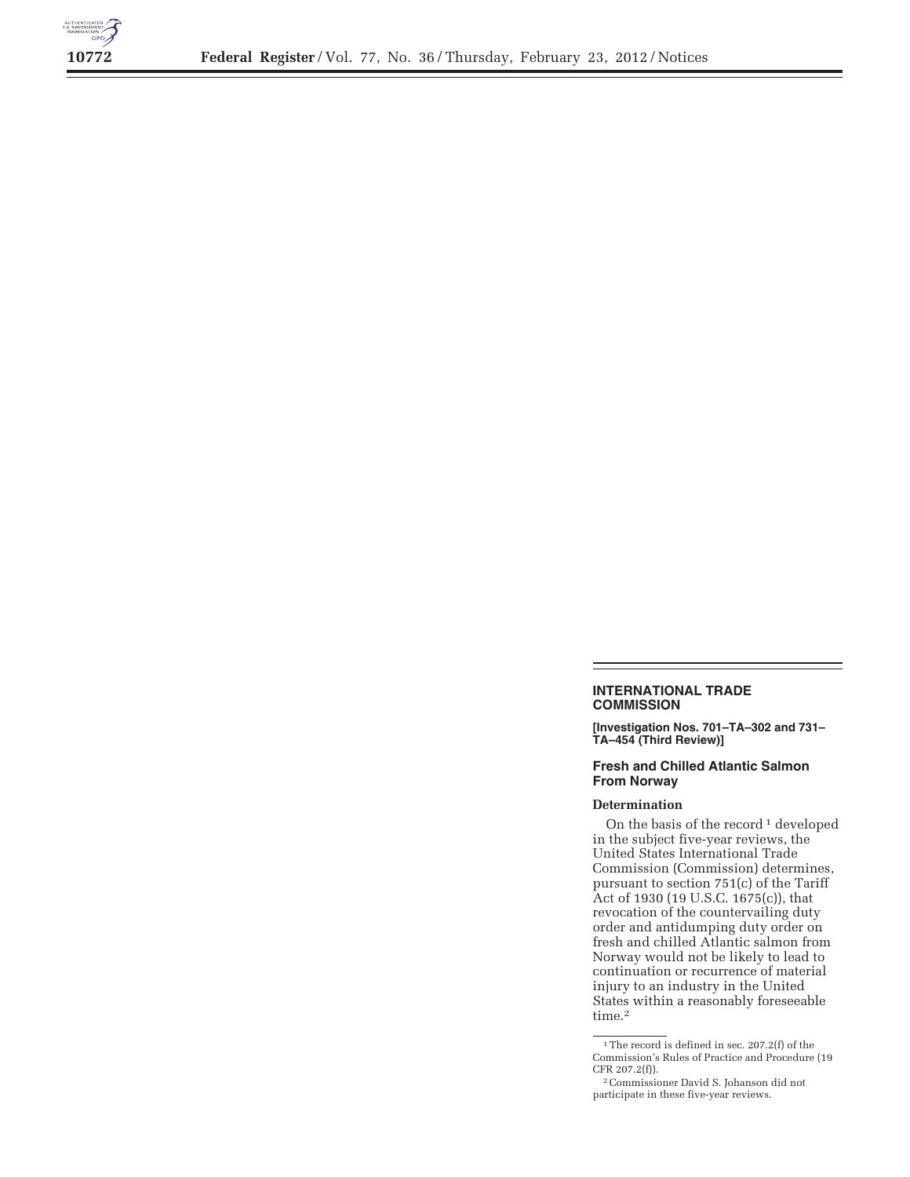

## **INTERNATIONAL TRADE COMMISSION**

**[Investigation Nos. 701–TA–302 and 731– TA–454 (Third Review)]** 

## **Fresh and Chilled Atlantic Salmon From Norway**

## **Determination**

On the basis of the record<sup>1</sup> developed in the subject five-year reviews, the United States International Trade Commission (Commission) determines, pursuant to section 751(c) of the Tariff Act of 1930 (19 U.S.C. 1675(c)), that revocation of the countervailing duty order and antidumping duty order on fresh and chilled Atlantic salmon from Norway would not be likely to lead to continuation or recurrence of material injury to an industry in the United States within a reasonably foreseeable time.<sup>2</sup>

 $^{\rm 1}\rm{The}$  record is defined in sec. 207.2(f) of the Commission's Rules of Practice and Procedure (19 CFR 207.2(f)).

<sup>2</sup>Commissioner David S. Johanson did not participate in these five-year reviews.